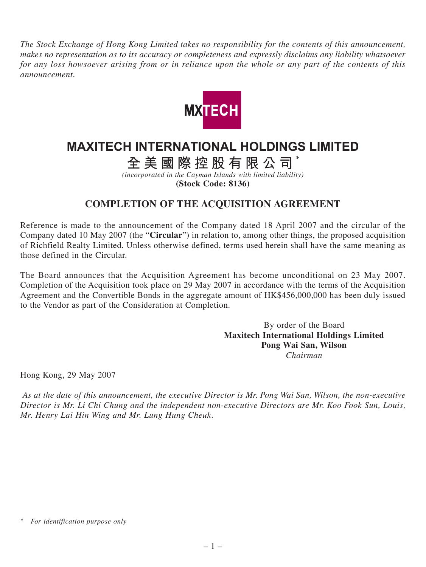*The Stock Exchange of Hong Kong Limited takes no responsibility for the contents of this announcement, makes no representation as to its accuracy or completeness and expressly disclaims any liability whatsoever for any loss howsoever arising from or in reliance upon the whole or any part of the contents of this announcement.*



## **MAXITECH INTERNATIONAL HOLDINGS LIMITED**

**全美國際控股有限公司** \*

*(incorporated in the Cayman Islands with limited liability)* **(Stock Code: 8136)**

## **COMPLETION OF THE ACQUISITION AGREEMENT**

Reference is made to the announcement of the Company dated 18 April 2007 and the circular of the Company dated 10 May 2007 (the "**Circular**") in relation to, among other things, the proposed acquisition of Richfield Realty Limited. Unless otherwise defined, terms used herein shall have the same meaning as those defined in the Circular.

The Board announces that the Acquisition Agreement has become unconditional on 23 May 2007. Completion of the Acquisition took place on 29 May 2007 in accordance with the terms of the Acquisition Agreement and the Convertible Bonds in the aggregate amount of HK\$456,000,000 has been duly issued to the Vendor as part of the Consideration at Completion.

> By order of the Board **Maxitech International Holdings Limited Pong Wai San, Wilson** *Chairman*

Hong Kong, 29 May 2007

 *As at the date of this announcement, the executive Director is Mr. Pong Wai San, Wilson, the non-executive Director is Mr. Li Chi Chung and the independent non-executive Directors are Mr. Koo Fook Sun, Louis, Mr. Henry Lai Hin Wing and Mr. Lung Hung Cheuk.*

*<sup>\*</sup> For identification purpose only*